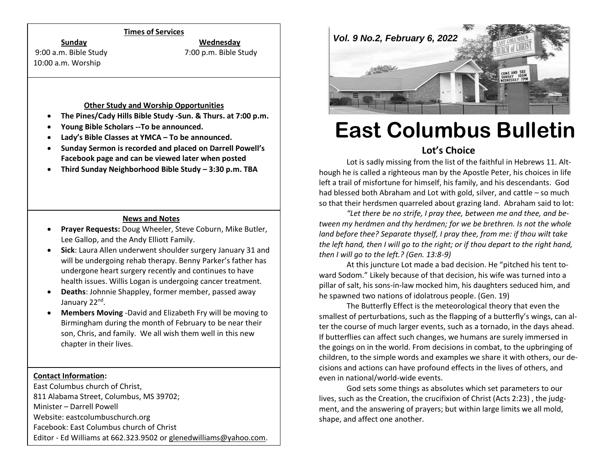### **Times of Services**

**Sunday Wednesday**

10:00 a.m. Worship

9:00 a.m. Bible Study 7:00 p.m. Bible Study

#### **Other Study and Worship Opportunities**

- **The Pines/Cady Hills Bible Study -Sun. & Thurs. at 7:00 p.m.**
- **Young Bible Scholars --To be announced.**
- **Lady's Bible Classes at YMCA – To be announced.**
- **Sunday Sermon is recorded and placed on Darrell Powell's Facebook page and can be viewed later when posted**
- **Third Sunday Neighborhood Bible Study – 3:30 p.m. TBA**

## **News and Notes**

- **Prayer Requests:** Doug Wheeler, Steve Coburn, Mike Butler, Lee Gallop, and the Andy Elliott Family.
- **Sick**: Laura Allen underwent shoulder surgery January 31 and will be undergoing rehab therapy. Benny Parker's father has undergone heart surgery recently and continues to have health issues. Willis Logan is undergoing cancer treatment.
- **Deaths**: Johnnie Shappley, former member, passed away January 22<sup>nd</sup>.
- **Members Moving** -David and Elizabeth Fry will be moving to Birmingham during the month of February to be near their son, Chris, and family. We all wish them well in this new chapter in their lives.

# **Contact Information:**

East Columbus church of Christ, 811 Alabama Street, Columbus, MS 39702; Minister – Darrell Powell Website: eastcolumbuschurch.org Facebook: East Columbus church of Christ Editor - Ed Williams at 662.323.9502 o[r glenedwilliams@yahoo.com.](mailto:glenedwilliams@yahoo.com)



# **East Columbus Bulletin**

# **Lot's Choice**

Lot is sadly missing from the list of the faithful in Hebrews 11. Although he is called a righteous man by the Apostle Peter, his choices in life left a trail of misfortune for himself, his family, and his descendants. God had blessed both Abraham and Lot with gold, silver, and cattle – so much so that their herdsmen quarreled about grazing land. Abraham said to lot:

*"Let there be no strife, I pray thee, between me and thee, and between my herdmen and thy herdmen; for we be brethren. Is not the whole land before thee? Separate thyself, I pray thee, from me: if thou wilt take the left hand, then I will go to the right; or if thou depart to the right hand, then I will go to the left.? (Gen. 13:8-9)*

At this juncture Lot made a bad decision. He "pitched his tent toward Sodom." Likely because of that decision, his wife was turned into a pillar of salt, his sons-in-law mocked him, his daughters seduced him, and he spawned two nations of idolatrous people. (Gen. 19)

The Butterfly Effect is the meteorological theory that even the smallest of perturbations, such as the flapping of a butterfly's wings, can alter the course of much larger events, such as a tornado, in the days ahead. If butterflies can affect such changes, we humans are surely immersed in the goings on in the world. From decisions in combat, to the upbringing of children, to the simple words and examples we share it with others, our decisions and actions can have profound effects in the lives of others, and even in national/world-wide events.

God sets some things as absolutes which set parameters to our lives, such as the Creation, the crucifixion of Christ (Acts 2:23) , the judgment, and the answering of prayers; but within large limits we all mold, shape, and affect one another.